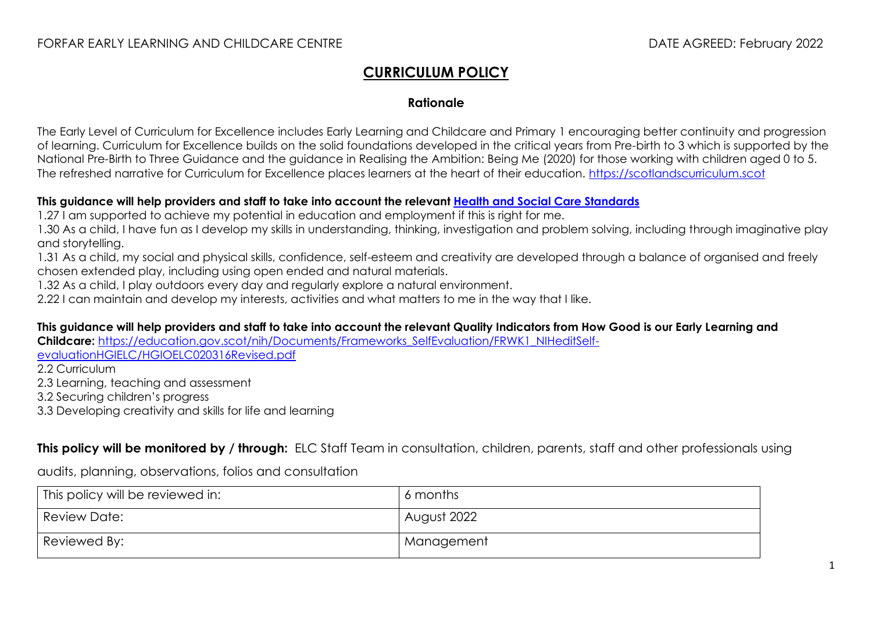## **CURRICULUM POLICY**

## **Rationale**

The Early Level of Curriculum for Excellence includes Early Learning and Childcare and Primary 1 encouraging better continuity and progression of learning. Curriculum for Excellence builds on the solid foundations developed in the critical years from Pre-birth to 3 which is supported by the National Pre-Birth to Three Guidance and the guidance in Realising the Ambition: Being Me (2020) for those working with children aged 0 to 5. The refreshed narrative for Curriculum for Excellence places learners at the heart of their education. [https://scotlandscurriculum.scot](https://scotlandscurriculum.scot/)

## **This guidance will help providers and staff to take into account the relevant [Health and Social Care Standards](https://www.gov.scot/publications/health-social-care-standards-support-life/)**

1.27 I am supported to achieve my potential in education and employment if this is right for me.

1.30 As a child, I have fun as I develop my skills in understanding, thinking, investigation and problem solving, including through imaginative play and storytelling.

1.31 As a child, my social and physical skills, confidence, self-esteem and creativity are developed through a balance of organised and freely chosen extended play, including using open ended and natural materials.

1.32 As a child, I play outdoors every day and regularly explore a natural environment.

2.22 I can maintain and develop my interests, activities and what matters to me in the way that I like.

**This guidance will help providers and staff to take into account the relevant Quality Indicators from How Good is our Early Learning and** 

**Childcare:** [https://education.gov.scot/nih/Documents/Frameworks\\_SelfEvaluation/FRWK1\\_NIHeditSelf-](https://education.gov.scot/nih/Documents/Frameworks_SelfEvaluation/FRWK1_NIHeditSelf-evaluationHGIELC/HGIOELC020316Revised.pdf)

[evaluationHGIELC/HGIOELC020316Revised.pdf](https://education.gov.scot/nih/Documents/Frameworks_SelfEvaluation/FRWK1_NIHeditSelf-evaluationHGIELC/HGIOELC020316Revised.pdf)

2.2 Curriculum

2.3 Learning, teaching and assessment

3.2 Securing children's progress

3.3 Developing creativity and skills for life and learning

**This policy will be monitored by / through:** ELC Staff Team in consultation, children, parents, staff and other professionals using

audits, planning, observations, folios and consultation

| <sup>I</sup> This policy will be reviewed in: | 6 months    |
|-----------------------------------------------|-------------|
| Review Date:                                  | August 2022 |
| Reviewed By:                                  | Management  |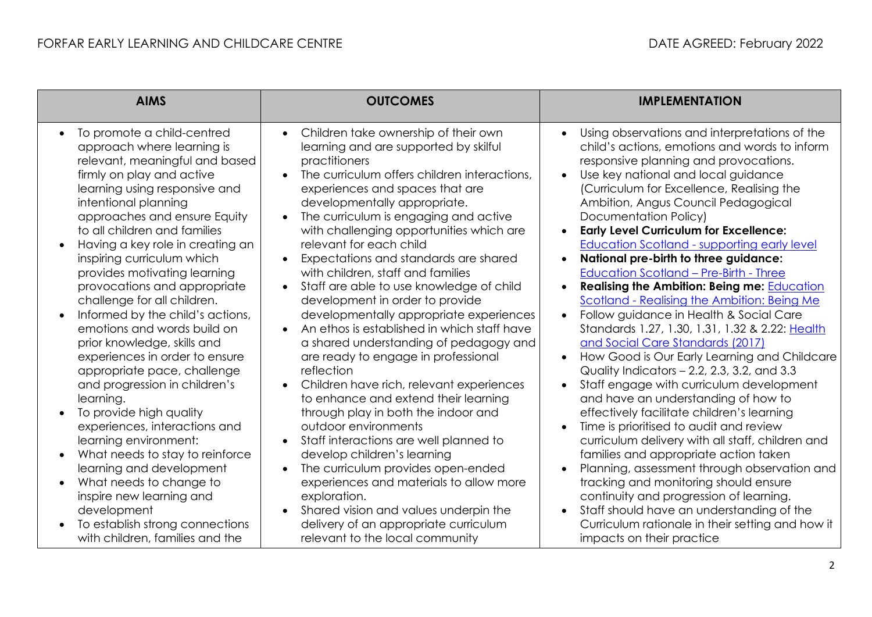| <b>AIMS</b>                                                                                                                                                                                                                                                                                                                                                                                                                                                                                                                                                                                                                                                                                                                                                                                                                                                                            | <b>OUTCOMES</b>                                                                                                                                                                                                                                                                                                                                                                                                                                                                                                                                                                                                                                                                                                                                                                                                                                                                                                                                                                                                                                                                                                   | <b>IMPLEMENTATION</b>                                                                                                                                                                                                                                                                                                                                                                                                                                                                                                                                                                                                                                                                                                                                                                                                                                                                                                                                                                                                                                                                                                                                                                                                                                                                              |
|----------------------------------------------------------------------------------------------------------------------------------------------------------------------------------------------------------------------------------------------------------------------------------------------------------------------------------------------------------------------------------------------------------------------------------------------------------------------------------------------------------------------------------------------------------------------------------------------------------------------------------------------------------------------------------------------------------------------------------------------------------------------------------------------------------------------------------------------------------------------------------------|-------------------------------------------------------------------------------------------------------------------------------------------------------------------------------------------------------------------------------------------------------------------------------------------------------------------------------------------------------------------------------------------------------------------------------------------------------------------------------------------------------------------------------------------------------------------------------------------------------------------------------------------------------------------------------------------------------------------------------------------------------------------------------------------------------------------------------------------------------------------------------------------------------------------------------------------------------------------------------------------------------------------------------------------------------------------------------------------------------------------|----------------------------------------------------------------------------------------------------------------------------------------------------------------------------------------------------------------------------------------------------------------------------------------------------------------------------------------------------------------------------------------------------------------------------------------------------------------------------------------------------------------------------------------------------------------------------------------------------------------------------------------------------------------------------------------------------------------------------------------------------------------------------------------------------------------------------------------------------------------------------------------------------------------------------------------------------------------------------------------------------------------------------------------------------------------------------------------------------------------------------------------------------------------------------------------------------------------------------------------------------------------------------------------------------|
| To promote a child-centred<br>$\bullet$<br>approach where learning is<br>relevant, meaningful and based<br>firmly on play and active<br>learning using responsive and<br>intentional planning<br>approaches and ensure Equity<br>to all children and families<br>Having a key role in creating an<br>inspiring curriculum which<br>provides motivating learning<br>provocations and appropriate<br>challenge for all children.<br>Informed by the child's actions,<br>emotions and words build on<br>prior knowledge, skills and<br>experiences in order to ensure<br>appropriate pace, challenge<br>and progression in children's<br>learning.<br>To provide high quality<br>experiences, interactions and<br>learning environment:<br>What needs to stay to reinforce<br>learning and development<br>What needs to change to<br>$\bullet$<br>inspire new learning and<br>development | Children take ownership of their own<br>learning and are supported by skilful<br>practitioners<br>The curriculum offers children interactions,<br>$\bullet$<br>experiences and spaces that are<br>developmentally appropriate.<br>The curriculum is engaging and active<br>$\bullet$<br>with challenging opportunities which are<br>relevant for each child<br>Expectations and standards are shared<br>with children, staff and families<br>Staff are able to use knowledge of child<br>$\bullet$<br>development in order to provide<br>developmentally appropriate experiences<br>An ethos is established in which staff have<br>a shared understanding of pedagogy and<br>are ready to engage in professional<br>reflection<br>Children have rich, relevant experiences<br>to enhance and extend their learning<br>through play in both the indoor and<br>outdoor environments<br>Staff interactions are well planned to<br>develop children's learning<br>The curriculum provides open-ended<br>$\bullet$<br>experiences and materials to allow more<br>exploration.<br>Shared vision and values underpin the | Using observations and interpretations of the<br>child's actions, emotions and words to inform<br>responsive planning and provocations.<br>Use key national and local guidance<br>(Curriculum for Excellence, Realising the<br>Ambition, Angus Council Pedagogical<br>Documentation Policy)<br><b>Early Level Curriculum for Excellence:</b><br>$\bullet$<br>Education Scotland - supporting early level<br>National pre-birth to three guidance:<br><b>Education Scotland - Pre-Birth - Three</b><br><b>Realising the Ambition: Being me: Education</b><br>Scotland - Realising the Ambition: Being Me<br>Follow guidance in Health & Social Care<br>Standards 1.27, 1.30, 1.31, 1.32 & 2.22: Health<br>and Social Care Standards (2017)<br>How Good is Our Early Learning and Childcare<br>Quality Indicators - 2.2, 2.3, 3.2, and 3.3<br>Staff engage with curriculum development<br>and have an understanding of how to<br>effectively facilitate children's learning<br>Time is prioritised to audit and review<br>curriculum delivery with all staff, children and<br>families and appropriate action taken<br>Planning, assessment through observation and<br>tracking and monitoring should ensure<br>continuity and progression of learning.<br>Staff should have an understanding of the |
| To establish strong connections<br>with children, families and the                                                                                                                                                                                                                                                                                                                                                                                                                                                                                                                                                                                                                                                                                                                                                                                                                     | delivery of an appropriate curriculum<br>relevant to the local community                                                                                                                                                                                                                                                                                                                                                                                                                                                                                                                                                                                                                                                                                                                                                                                                                                                                                                                                                                                                                                          | Curriculum rationale in their setting and how it<br>impacts on their practice                                                                                                                                                                                                                                                                                                                                                                                                                                                                                                                                                                                                                                                                                                                                                                                                                                                                                                                                                                                                                                                                                                                                                                                                                      |